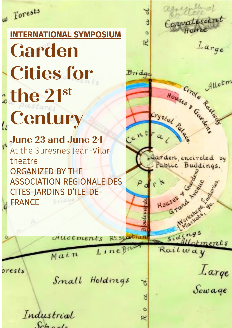w Forests

# **INTERNATIONAL SYMPOSIUM Garden Cities for the 21st Century**

**June 23 and June 24** At the Suresnes Jean-Vilar theatre ORGANIZED BY THE ASSOCIATION REGIONALE DES CITES-JARDINS D'ILE-DE-FRANCE

LineBr

Allocments

Main

۰

orests

Small Holdings

ö

œ

Industrial  $Sch.$ 

Convatescent  $\Delta$ R Large Houses & Cardings  $Bride$ Allotm Crystal Pale ent Garden, encircled by Pablic Buildings. Grand M Marian Houses &  $sidings$ **RY SEP** Lotments Railway Large ۳ Sewage ಕ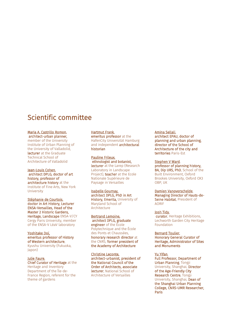# Scientific committee

#### Maria A. Castrillo Romon,

 architect-urban planner, member of the University Institute of Urban Planning of the University of Valladolid, lecturer at the Graduate Technical School of Architecture of Valladolid

Jean-Louis Cohen, architect DPLG, doctor of art history, professor of architecture history at the Institute of Fine Arts, New York University

Stéphanie de Courtois, doctor in Art History, Lecturer ENSA-Versailles, Head of the Master 2 Historic Gardens, Heritage, Landscape ENSA-V/CY Cergy Paris University, member of the ENSA-V LéaV laboratory

#### Yoshitake Doï, emeritus professor of History of Western architecture,

Kyushu University (Fukuoka, Japon)

#### Julie Faure, Chief Curator of Heritage at the Heritage and Inventory Department of the Île-de-France Region, referent for the

theme of gardens

#### Hartmut Frank,

emeritus professor at the HafenCity Universität Hamburg and independent architectural historian

Pauline Frileux, ethnologist and botanist, lecturer at the Larep (Research Laboratory in Landscape Project), teacher at the Ecole Nationale Supérieure de Paysage in Versailles

Isabelle Gournay, architect DPLG, PhD in Art History, Emerita, University of Maryland School of **Architecture** 

#### Bertrand Lemoine,

 architect DPLG, graduate engineer of the École Polytechnique and the École des Ponts et Chaussées, honorary research director at the CNRS, former president of the Academy of Architecture

Christine Leconte, architect-urbanist, president of the National Council of the Order of Architects, associate lecturer, National School of Architecture of Versailles

#### Amina Sellali, architect EPAU, doctor of

planning and urban planning, director of the School of Architecture of the city and territories Paris-Est

#### Stephen V Ward,

professor of planning history, BA, Dip URS, PhD, School of the Built Environment, Oxford Brookes University, Oxford OX3 OBP, UK

#### Damien Vanoverschelde, Managing Director of Hauts-de-Seine Habitat, President of AORIF

Josh Tidy,

 curator, Heritage Exhibitions, Lechworth Garden City Heritage Foundation

Bernard Toulier, Honorary General Curator of Heritage, Administrator of Sites and Monuments

#### Yu Yifan,

Full Professor, Department of Urban Planning, Tongji University, Shanghai, Director of the Age-Friendly City Research Centre, Tongji University, Shanghai, Dean of the Shanghai Urban Planning College, CNRS-UMR Researcher, Paris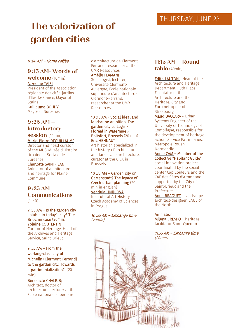# **The valorization of garden cities**

#### 9 :00 AM – Home coffee

# **9 :15 AM- Words of**

#### **welcome** (10min) Azzédine TAIBI

President of the Association régionale des cités-jardins d'Ile-de-France, Mayor of **Stains** Guillaume BOUDY

Mayor of Suresnes

# **9 :25 AM –**

# **Introductory**

#### **session** (10min) Marie-Pierre DEGUILLAUME

Director and head curator of the MUS-Musée d'Histoire Urbaine et Sociale de Suresnes

#### Charlotte SAINT-JEAN

Animator of architecture and heritage for Plaine Commune

### **9 :35 AM– Communications** (1h40)

9 :35 AM – Is the garden city soluble in today's city? The Briochin case (20min) Yolaine COUTENTIN Curator of Heritage, Head of

the Archives and Heritage Service, Saint-Brieuc

9 :55 AM – From the working-class city of Michelin (Clermont-Ferrand) to the garden city. Towards a patrimonialization? (20 min)

Bénédicte CHALJUB; Architect, doctor of architecture, lecturer at the Ecole nationale supérieure

d'architecture de Clermont-Ferrand, researcher at the UMR Ressources

# Amélie FLAMAND

Sociologist, lecturer, Université Clermont-Auvergne, Ecole nationale supérieure d'architecture de Clermont-Ferrand, researcher at the UMR Ressources

#### 10 :15 AM - Social ideal and landscape ambition. The garden city Le Logis - Floréal in Watermael-Boitsfort, Brussels (20 min) Eric HENNAUT

Art historian specialized in the history of architecture and landscape architecture, curator at the CIVA in Brussels.

#### 10 :35 AM – Garden city or Gartenstadt? The legacy of Czech urban planning (20 min in english) Vendula HNÌDJOVÀ

Institute of Art History, Czech Academy of Sciences in Prague

#### 10 :55 AM – Exchange time (20min)

# **11:15 AM – Round table** (40min)

**Edith LAUTON** - Head of the Architecture and Heritage Department – 5th Place, Facilitator of the Architecture and the Heritage, City and Eurometropole of Strasbourg

Maud BACCARA - Urban Systems Engineer of the University of Technology of Compiègne, responsible for the development of heritage action, Service Patrimoines, Métropole Rouen-Normandie

Annie CAM – Member of the collective "Habitant Guide", social innovation project coordinated by the social center Cap Couleurs and the CAF des Côtes d'Armor and supported by the City of Saint-Brieuc and the Prefecture

Anne BRAQUET - Landscape architect-designer, CAUE of the North

#### Animation:

Milena CRESPO – heritage facilitator Saint-Quentin

11:55 AM – Exchange time (20min)

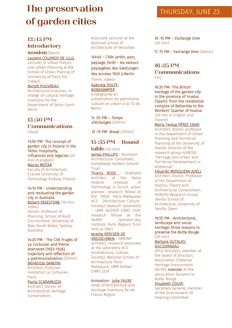# **The preservation** THURSDAY, JUNE 23 **of garden cities**

# **13 :45 PM– Introductory**

#### **session** (5min) Laurent COUDROY DE LILLE

Lecturer in Urban History and Urban Planning at the School of Urban Plannig of (University of Paris-Est-Créteil)

#### Benoît POUVREAU

Architectural historian, in charge of cultural heritage inventory for the Department of Seine-Saint-Denis

#### **13 :50 PM – Communications**  $(1h40)$

13:50 PM- The concept of garden city in Poland in the 1920s: hospitality, influences and legacies (20 min in english) Maciej MOTAK Faculty of Architecture, Cracow University of Technology Krakow, Poland

#### 14:10 PM - Understanding and resituating the garden city in Australia Robert FREESTONE (10 min, video)

Doctor, Professor of Planning, School of Built Environment, University of New South Wales, Sydney, Australia

14:20 PM - The Cité Frugès of Le Corbusier and Pierre-Jeanneret (1923-1926), trajectory and reflection of a patrimonialization (20min) Bénédicte GANDINI

Architect, historian, Fondation Le Corbusier, Paris

#### Paola SCARAMUZZA

Architect, Doctor of Architectural Heritage Conservation,

Associate Lecturer at the National School of Architecture of Versailles

14h40 – Cités jardin, parc, paysage, forêt – les valeurs paysagères des Siedlungen des années 1920 à Berlin (15min, video)

#### Gabriele DOLFF-BONEKÄMPER

Enseignante en préservation du patrimoine culturel et urbain à la TU de Berlin

14 :55 PM – Temps d'échanges (20min)

15 :15 PM- Break (20min)

# **15 :35 PM – Round**

**table** (40 min) James PHILLIPS - Assistant Architectural Consultant, Hampstead Garden Suburb Trust

Thierry ROZE - Graduate architect of the Swiss Federal Institute of Technology in Zurich, urban planner, research fellow at the ENSA Paris-Malaquais ACS (Architecture-Culture-Society) research laboratory – UMR AUSSER CNRS 3329, research fellow at the IAURIF (present-day Institute Paris Region) from 1976 to 1981)

#### Jeremy VERCKEN DE VREUSCHMEN - HMONP

architect, research associate at the laboratory ACS (Architecture, Culture, Society), National School of Architecture Paris-Malaquais, UMR AUSser CNRS 3329

#### Animation: Julie FAURE

Head of Architecture and Heritage Inventory Ile-de-France Region

#### 16 :15 PM – Exchange time (20 min)

17 :15 PM – Exchange time (20min)

### **16 :35 PM – Communications** (1h)

16:35 PM- The British heritage of the garden city in the province of Huelva (Spain): from the residential complex of Bellavista to the Workers' Quarter of Huelva (20 min in English and French)

#### María Teresa PÉREZ CANO

Architect, doctor, professor in the Department of Urban Planning and Territorial Planning of the University of Seville, director of the research group HUM700 "Heritage and Urban and Territorial Development in Andalusia".

#### Eduardo MOSQUERA ADELL

Architect, Doctor, Professor in the Department of History, Theory and Architectural Composition, HUM700 Research Group, Seville School of Architecture, University of Seville, Spain

#### 16:55 PM - Architectural, landscape and social heritage: three reasons to preserve the Butte Rouge (20 min)

Barbara GUTGLAS-DUCOURNEAU

DPLG Architect, member of the board of directors Association Châtenay Heritage Environment (ACPE), member of the association Sauvons la Butte-Rouge

#### Elisabeth COUVE

Secretary General, member of the Environment 92 steering committee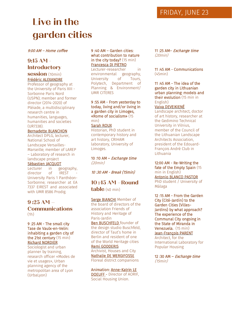# **Live in the garden cities**

9:00 AM – Home coffee

# **9:15 AM - Introductory session** (10min)

#### Frédéric ALEXANDRE

Professor of geography at the University of Paris XIII - Sorbonne Paris Nord (USPN); member and former director (2014-2020) of Pléiade, a multidisciplinary research centre in humanities, languages, humanities and societies (UR7338).

#### Bernadette BLANCHON

Architect DPLG, lecturer, National School of Landscape Versailles-Marseille; member of LAREP – Laboratory of research in landscape project

#### Sébastien JACQUOT

Lecturer in geography,<br>director of IREST director of University Paris 1 Panthéon-Sorbonne; researcher at EA 7337 EIREST and associated with UMR 8586 Prodig.

## **9 :25 AM – Communications** (1h)

9 :25 AM - The small city Tase de Vaulx-en-Velin: inhabiting a garden city of the 21st century (15 min) Richard NORDIER

Sociologist and urban planner by training, research officer «Modes de vie et usages», Urban planning agency of the metropolitan area of Lyon (UrbaLyon)

#### 9 :40 AM – Garden cities: what contribution to nature in the city today? (15 min) Francesca DI PIETRO

Lecturer-researcher in environmental geography,<br>University of Tours. University of Tours, Polytech, Department of Planning & Environment/ UMR CITERES

9 :55 AM - From yesterday to today, living and/or living in a garden city in Limoges, «Rome of socialism» (15 min)

#### Sarah ROUX

Historian, PhD student in contemporary history and art history, CRIHAM laboratory, University of Limoges.

10 :10 AM – Exchange time (20min)

10 :30 AM - Break (15min)

**10 :45 AM –Round table** (40 min)

Serge BIANCHI Member of the board of directors of the association Friends of History and Heritage of Paris-Jardin **Ben BUSCHFELD** founder of the design studio Buschfeld, director of Taut's home in Berlin and resident of one of the World Heritage cities Remi GODDERIS Archivist, Houses and City Nathalie DE WERGIFOSSE Floreal district companions

Animation: Anne-Katrin LE DOEUFF - Director of AORIF, Social Housing Union.

11 :25 AM– Exchange time (20min)

11 :45 AM - Communications (45min)

11 :45 AM - The idea of the garden city in Lithuanian urban planning: models and their evolution (15 min in English)

#### Vaiva DEVEIKIENÉ

Landscape architect, doctor of art history, researcher at the Gedimino Technical University in Vilnius, member of the Council of the Lithuanian Landscape Architects Association, president of the Edouard-François André Club in Lithuania

12:00 AM - Re-Writing the fate of the Empty Spain (15 min in English) Antonio BLANCO PASTOR PhD student / University of Málaga

12 :15 AM - From the Garden City (Cité-Jardin) to the Garden Cities (Villes-Jardins) by what approach? The experience of the Communal City ongoing in the State of Miranda in Venezuela. (15 min) Jean-François PARENT Architect, for the International Laboratory for Popular Housing

12:30 AM - Exchange time (15min)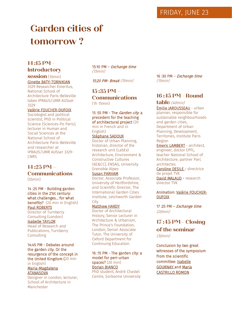# **Garden cities of tomorrow ?**

# **14 :15 PM - Introductory**

# **session** (10min) Ginette BATY-TORNIKIAN

3329 Researcher Emeritus, National School of Architecture Paris-Belleville labex IPRAUS/UMR AUSser 3329

#### Valérie FOUCHER-DUFOIX

Sociologist and political scientist, PhD in Political Science (Sciences-Po Paris), lecturer in Human and Social Sciences at the National School of Architecture Paris-Belleville and researcher at IPRAUS/UMR AUSser 3329- **CNRS** 

### **14 :25 PM – Communications** (55min)

14 :25 PM - Building garden cities in the 21st century: what challenges… for what benefits? (20 min in English) Paul ROBERTS

Director of Turnberry Consulting (London) Isabelle TAYLOR

Head of Research and Publications, Turnberry Consulting

14:45 PM - Debates around the garden city. Or the resurgence of the concept in the United Kingdom (20 min in English) Maria-Magdalena **ATANASOVA** 

Designer in London, lecturer, School of Architecture in Manchester

15:10 PM - Exchange time (15min)

15:20 PM- Break (15min)

**15 :35 PM – Communications** (1h 15min)

15 :55 PM - The Garden city. a precedent for the teaching of architectural project (20 min in French and in

#### English) Stéphane SADOUX

Doctor of Urban Planning, historian, director of the research unit (LabEx) Architecture, Environment & Constructive Cultures (AE&CC), ENSAG, University Grenoble Alpes

#### Susan PARHAM Doctor, Associate Professor,

University of Hertfordshire, and Scientific Director, The International Garden Cities Institute, Letchworth Garden **City** 

#### Matthew HARDY

Doctor of Architectural History, Senior Lecturer in Architecture & Urbanism, The Prince's Foundation, London; Senior Associate Tutor, The University of Oxford Department for Continuing Education.

#### 16 :15 PM - The garden city: a model for peri-urban spaces? (20 min) Dorian BIANCO PhD student, André Chastel

Centre, Sorbonne University

16 :30 PM – Exchange time (15min)

# **16 :45 PM - Round**

**table** (40min) Émilie JAROUSSEAU - urban planner, responsible for sustainable neighbourhoods and garden cities, Department of Urban Planning, Development, Territories, Institute Paris Region Emeric LAMBERT - architect, engineer, doctor EPFL,

teacher National School of Architecture, partner Parc architectes

Caroline DESILE - directrice de projet TVK David MALAUD - research director TVK

#### Animation: Valérie FOUCHER-**DUFOIX**

17 :25 PM – Exchange time (20min)

# **17 :45 PM– Closing of the seminar** (30min)

Conclusion by two great witnesses of the symposium from the scientific committee: Isabelle GOURNAY and Maria CASTRILLO ROMON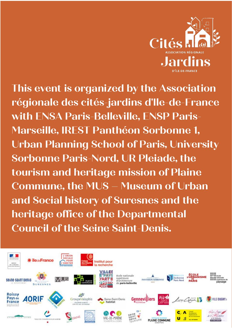

**This event is organized by the Association régionale des cités-jardins d'Ile-de-France with ENSA Paris-Belleville, ENSP Paris-Marseille, IREST Panthéon Sorbonne 1, Urban Planning School of Paris, University Sorbonne Paris-Nord, UR Pleiade, the tourism and heritage mission of Plaine Commune, the MUS – Museum of Urban and Social history of Suresnes and the heritage office of the Departmental Council of the Seine Saint-Denis.**